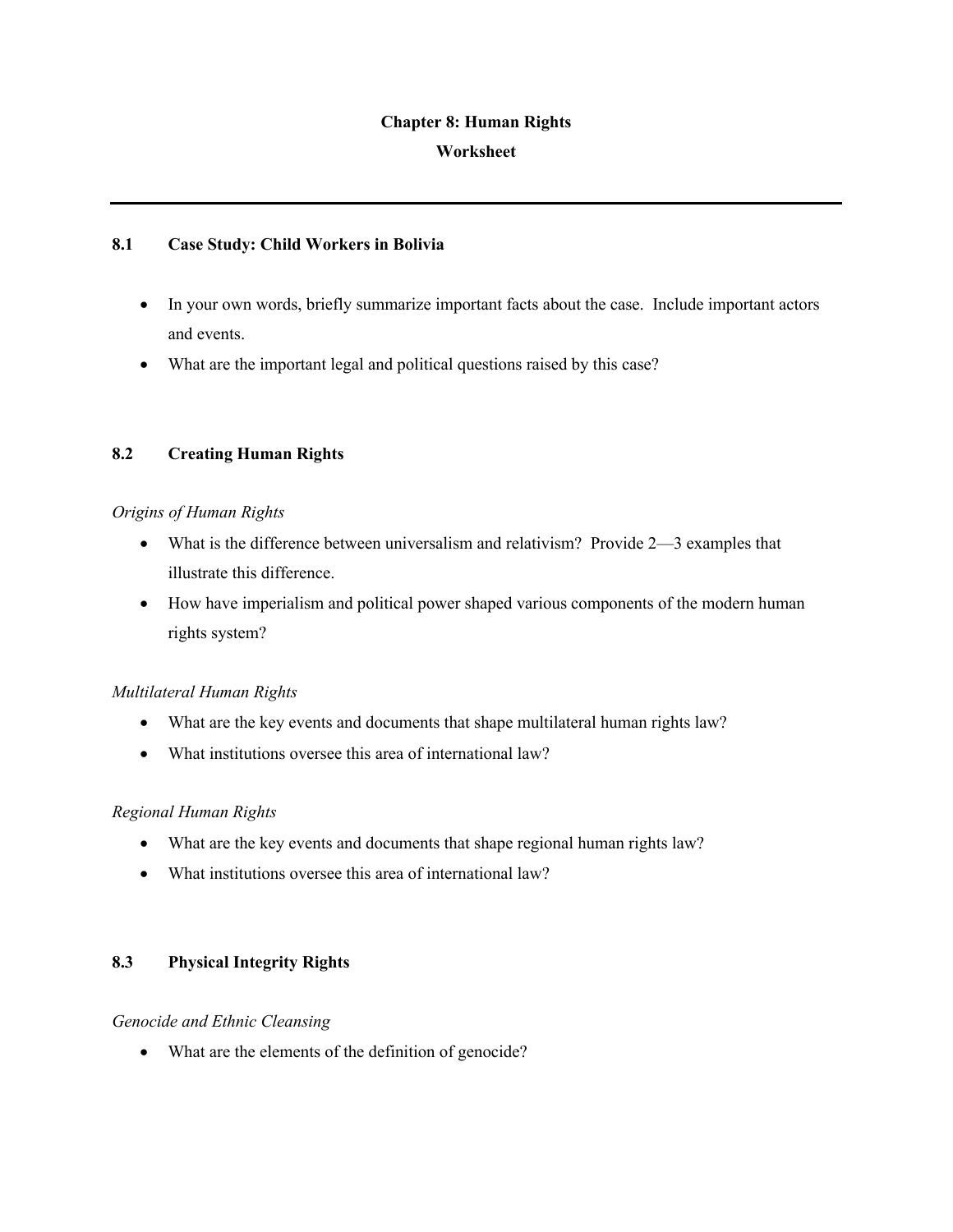### **Chapter 8: Human Rights**

### **Worksheet**

### **8.1 Case Study: Child Workers in Bolivia**

- In your own words, briefly summarize important facts about the case. Include important actors and events.
- What are the important legal and political questions raised by this case?

# **8.2 Creating Human Rights**

## *Origins of Human Rights*

- What is the difference between universalism and relativism? Provide 2—3 examples that illustrate this difference.
- How have imperialism and political power shaped various components of the modern human rights system?

### *Multilateral Human Rights*

- What are the key events and documents that shape multilateral human rights law?
- What institutions oversee this area of international law?

# *Regional Human Rights*

- What are the key events and documents that shape regional human rights law?
- What institutions oversee this area of international law?

# **8.3 Physical Integrity Rights**

### *Genocide and Ethnic Cleansing*

• What are the elements of the definition of genocide?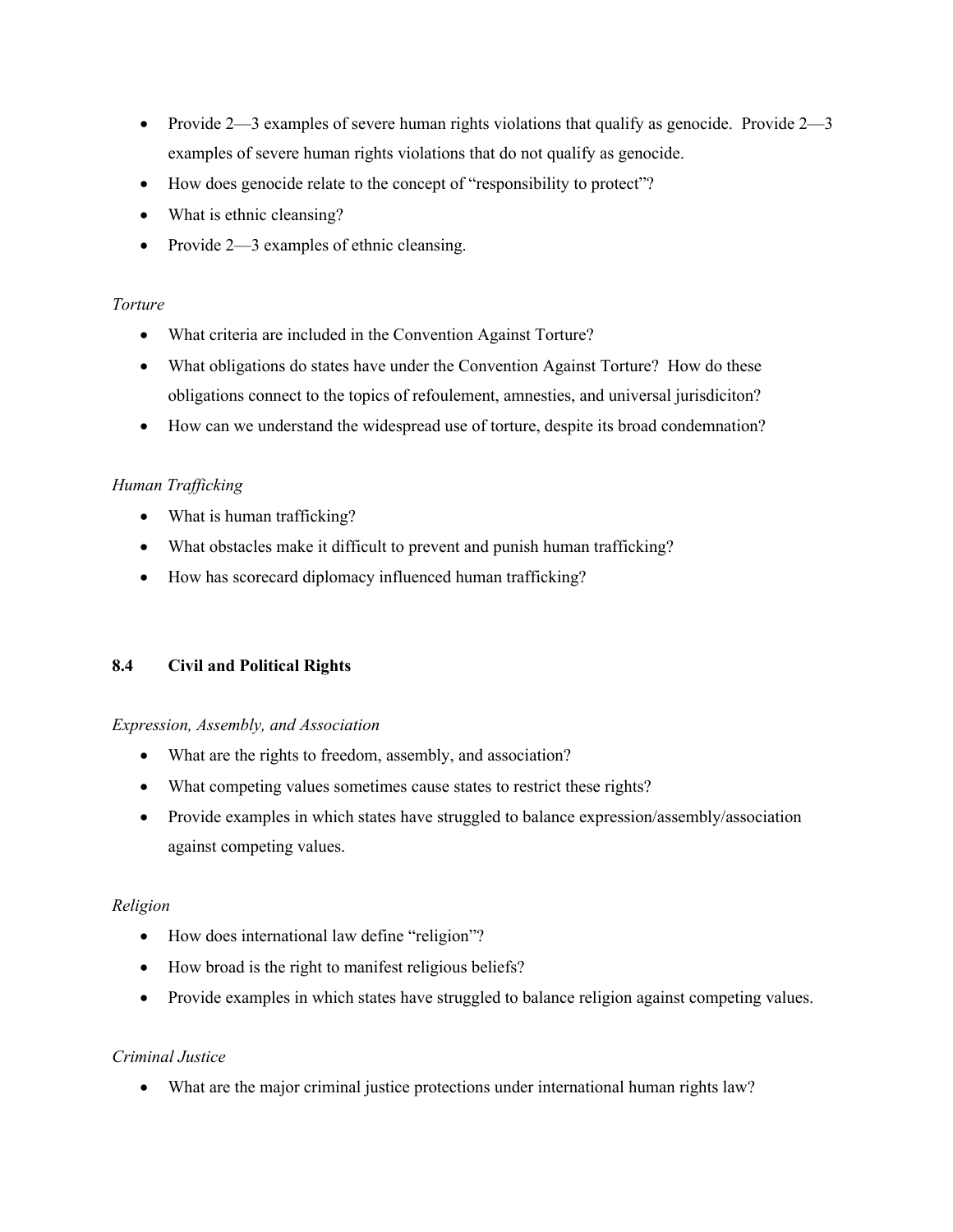- Provide  $2-3$  examples of severe human rights violations that qualify as genocide. Provide  $2-3$ examples of severe human rights violations that do not qualify as genocide.
- How does genocide relate to the concept of "responsibility to protect"?
- What is ethnic cleansing?
- Provide 2—3 examples of ethnic cleansing.

### *Torture*

- What criteria are included in the Convention Against Torture?
- What obligations do states have under the Convention Against Torture? How do these obligations connect to the topics of refoulement, amnesties, and universal jurisdiciton?
- How can we understand the widespread use of torture, despite its broad condemnation?

## *Human Trafficking*

- What is human trafficking?
- What obstacles make it difficult to prevent and punish human trafficking?
- How has scorecard diplomacy influenced human trafficking?

### **8.4 Civil and Political Rights**

### *Expression, Assembly, and Association*

- What are the rights to freedom, assembly, and association?
- What competing values sometimes cause states to restrict these rights?
- Provide examples in which states have struggled to balance expression/assembly/association against competing values.

### *Religion*

- How does international law define "religion"?
- How broad is the right to manifest religious beliefs?
- Provide examples in which states have struggled to balance religion against competing values.

### *Criminal Justice*

• What are the major criminal justice protections under international human rights law?